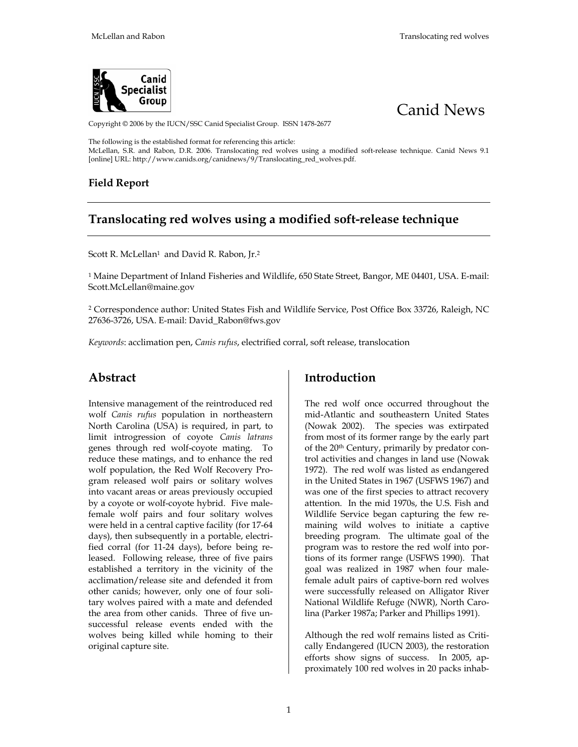



Copyright © 2006 by the IUCN/SSC Canid Specialist Group. ISSN 1478-2677

The following is the established format for referencing this article:

McLellan, S.R. and Rabon, D.R. 2006. Translocating red wolves using a modified soft-release technique. Canid News 9.1 [online] URL: http://www.canids.org/canidnews/9/Translocating\_red\_wolves.pdf.

#### **Field Report**

## **Translocating red wolves using a modified soft-release technique**

Scott R. McLellan<sup>1</sup> and David R. Rabon, Jr.<sup>2</sup>

<sup>1</sup> Maine Department of Inland Fisheries and Wildlife, 650 State Street, Bangor, ME 04401, USA. E-mail: Scott.McLellan@maine.gov

2 Correspondence author: United States Fish and Wildlife Service, Post Office Box 33726, Raleigh, NC 27636-3726, USA. E-mail: David\_Rabon@fws.gov

*Keywords*: acclimation pen, *Canis rufus*, electrified corral, soft release, translocation

## **Abstract**

Intensive management of the reintroduced red wolf *Canis rufus* population in northeastern North Carolina (USA) is required, in part, to limit introgression of coyote *Canis latrans* genes through red wolf-coyote mating. To reduce these matings, and to enhance the red wolf population, the Red Wolf Recovery Program released wolf pairs or solitary wolves into vacant areas or areas previously occupied by a coyote or wolf-coyote hybrid. Five malefemale wolf pairs and four solitary wolves were held in a central captive facility (for 17-64 days), then subsequently in a portable, electrified corral (for 11-24 days), before being released. Following release, three of five pairs established a territory in the vicinity of the acclimation/release site and defended it from other canids; however, only one of four solitary wolves paired with a mate and defended the area from other canids. Three of five unsuccessful release events ended with the wolves being killed while homing to their original capture site.

## **Introduction**

The red wolf once occurred throughout the mid-Atlantic and southeastern United States (Nowak 2002). The species was extirpated from most of its former range by the early part of the 20th Century, primarily by predator control activities and changes in land use (Nowak 1972). The red wolf was listed as endangered in the United States in 1967 (USFWS 1967) and was one of the first species to attract recovery attention. In the mid 1970s, the U.S. Fish and Wildlife Service began capturing the few remaining wild wolves to initiate a captive breeding program. The ultimate goal of the program was to restore the red wolf into portions of its former range (USFWS 1990). That goal was realized in 1987 when four malefemale adult pairs of captive-born red wolves were successfully released on Alligator River National Wildlife Refuge (NWR), North Carolina (Parker 1987a; Parker and Phillips 1991).

Although the red wolf remains listed as Critically Endangered (IUCN 2003), the restoration efforts show signs of success. In 2005, approximately 100 red wolves in 20 packs inhab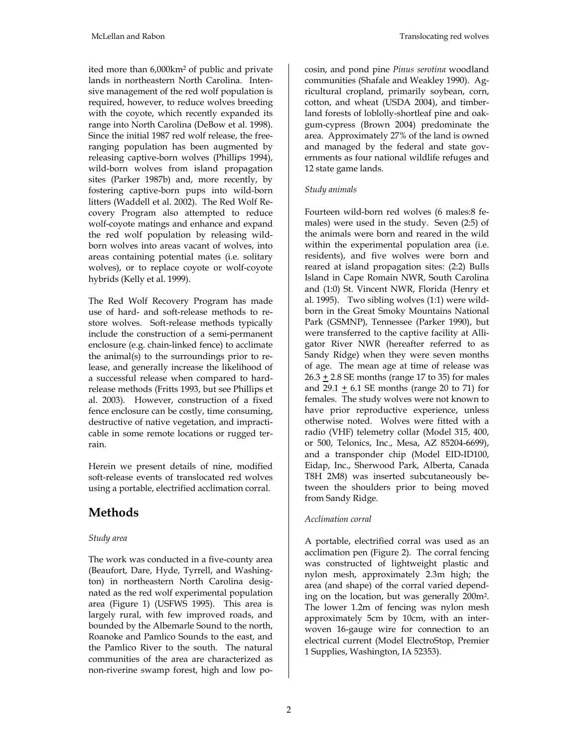ited more than 6,000km2 of public and private lands in northeastern North Carolina. Intensive management of the red wolf population is required, however, to reduce wolves breeding with the coyote, which recently expanded its range into North Carolina (DeBow et al. 1998). Since the initial 1987 red wolf release, the freeranging population has been augmented by releasing captive-born wolves (Phillips 1994), wild-born wolves from island propagation sites (Parker 1987b) and, more recently, by fostering captive-born pups into wild-born litters (Waddell et al. 2002). The Red Wolf Recovery Program also attempted to reduce wolf-coyote matings and enhance and expand the red wolf population by releasing wildborn wolves into areas vacant of wolves, into areas containing potential mates (i.e. solitary wolves), or to replace coyote or wolf-coyote hybrids (Kelly et al. 1999).

The Red Wolf Recovery Program has made use of hard- and soft-release methods to restore wolves. Soft-release methods typically include the construction of a semi-permanent enclosure (e.g. chain-linked fence) to acclimate the animal(s) to the surroundings prior to release, and generally increase the likelihood of a successful release when compared to hardrelease methods (Fritts 1993, but see Phillips et al. 2003). However, construction of a fixed fence enclosure can be costly, time consuming, destructive of native vegetation, and impracticable in some remote locations or rugged terrain.

Herein we present details of nine, modified soft-release events of translocated red wolves using a portable, electrified acclimation corral.

# **Methods**

#### *Study area*

The work was conducted in a five-county area (Beaufort, Dare, Hyde, Tyrrell, and Washington) in northeastern North Carolina designated as the red wolf experimental population area (Figure 1) (USFWS 1995). This area is largely rural, with few improved roads, and bounded by the Albemarle Sound to the north, Roanoke and Pamlico Sounds to the east, and the Pamlico River to the south. The natural communities of the area are characterized as non-riverine swamp forest, high and low pocosin, and pond pine *Pinus serotina* woodland communities (Shafale and Weakley 1990). Agricultural cropland, primarily soybean, corn, cotton, and wheat (USDA 2004), and timberland forests of loblolly-shortleaf pine and oakgum-cypress (Brown 2004) predominate the area. Approximately 27% of the land is owned and managed by the federal and state governments as four national wildlife refuges and 12 state game lands.

### *Study animals*

Fourteen wild-born red wolves (6 males:8 females) were used in the study. Seven (2:5) of the animals were born and reared in the wild within the experimental population area (i.e. residents), and five wolves were born and reared at island propagation sites: (2:2) Bulls Island in Cape Romain NWR, South Carolina and (1:0) St. Vincent NWR, Florida (Henry et al. 1995). Two sibling wolves (1:1) were wildborn in the Great Smoky Mountains National Park (GSMNP), Tennessee (Parker 1990), but were transferred to the captive facility at Alligator River NWR (hereafter referred to as Sandy Ridge) when they were seven months of age. The mean age at time of release was  $26.3 + 2.8$  SE months (range 17 to 35) for males and  $29.1 + 6.1$  SE months (range 20 to 71) for females. The study wolves were not known to have prior reproductive experience, unless otherwise noted. Wolves were fitted with a radio (VHF) telemetry collar (Model 315, 400, or 500, Telonics, Inc., Mesa, AZ 85204-6699), and a transponder chip (Model EID-ID100, Eidap, Inc., Sherwood Park, Alberta, Canada T8H 2M8) was inserted subcutaneously between the shoulders prior to being moved from Sandy Ridge.

## *Acclimation corral*

A portable, electrified corral was used as an acclimation pen (Figure 2). The corral fencing was constructed of lightweight plastic and nylon mesh, approximately 2.3m high; the area (and shape) of the corral varied depending on the location, but was generally 200m2. The lower 1.2m of fencing was nylon mesh approximately 5cm by 10cm, with an interwoven 16-gauge wire for connection to an electrical current (Model ElectroStop, Premier 1 Supplies, Washington, IA 52353).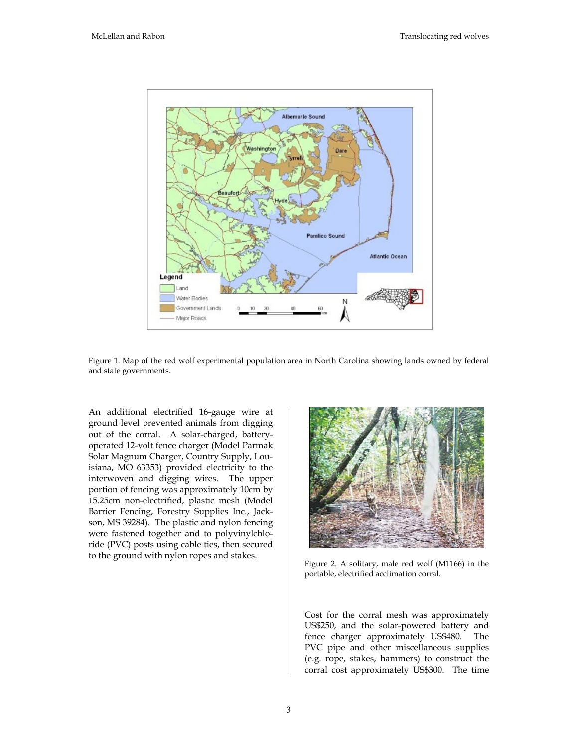

Figure 1. Map of the red wolf experimental population area in North Carolina showing lands owned by federal and state governments.

An additional electrified 16-gauge wire at ground level prevented animals from digging out of the corral. A solar-charged, batteryoperated 12-volt fence charger (Model Parmak Solar Magnum Charger, Country Supply, Louisiana, MO 63353) provided electricity to the interwoven and digging wires. The upper portion of fencing was approximately 10cm by 15.25cm non-electrified, plastic mesh (Model Barrier Fencing, Forestry Supplies Inc., Jackson, MS 39284). The plastic and nylon fencing were fastened together and to polyvinylchloride (PVC) posts using cable ties, then secured to the ground with nylon ropes and stakes.<br>Figure 2. A solitary, male red wolf (M1166) in the



portable, electrified acclimation corral.

Cost for the corral mesh was approximately US\$250, and the solar-powered battery and fence charger approximately US\$480. The PVC pipe and other miscellaneous supplies (e.g. rope, stakes, hammers) to construct the corral cost approximately US\$300. The time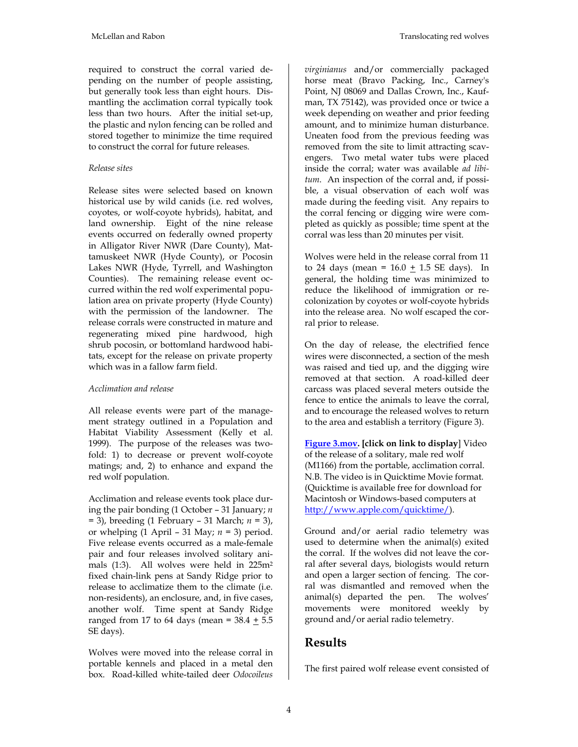required to construct the corral varied depending on the number of people assisting, but generally took less than eight hours. Dismantling the acclimation corral typically took less than two hours. After the initial set-up, the plastic and nylon fencing can be rolled and stored together to minimize the time required to construct the corral for future releases.

#### *Release sites*

Release sites were selected based on known historical use by wild canids (i.e. red wolves, coyotes, or wolf-coyote hybrids), habitat, and land ownership. Eight of the nine release events occurred on federally owned property in Alligator River NWR (Dare County), Mattamuskeet NWR (Hyde County), or Pocosin Lakes NWR (Hyde, Tyrrell, and Washington Counties). The remaining release event occurred within the red wolf experimental population area on private property (Hyde County) with the permission of the landowner. The release corrals were constructed in mature and regenerating mixed pine hardwood, high shrub pocosin, or bottomland hardwood habitats, except for the release on private property which was in a fallow farm field.

#### *Acclimation and release*

All release events were part of the management strategy outlined in a Population and Habitat Viability Assessment (Kelly et al. 1999). The purpose of the releases was twofold: 1) to decrease or prevent wolf-coyote matings; and, 2) to enhance and expand the red wolf population.

Acclimation and release events took place during the pair bonding (1 October – 31 January; *n* = 3), breeding (1 February – 31 March; *n* = 3), or whelping (1 April – 31 May; *n* = 3) period. Five release events occurred as a male-female pair and four releases involved solitary animals (1:3). All wolves were held in 225m2 fixed chain-link pens at Sandy Ridge prior to release to acclimatize them to the climate (i.e. non-residents), an enclosure, and, in five cases, another wolf. Time spent at Sandy Ridge ranged from 17 to 64 days (mean =  $38.4 + 5.5$ SE days).

Wolves were moved into the release corral in portable kennels and placed in a metal den box. Road-killed white-tailed deer *Odocoileus*

*virginianus* and/or commercially packaged horse meat (Bravo Packing, Inc., Carney's Point, NJ 08069 and Dallas Crown, Inc., Kaufman, TX 75142), was provided once or twice a week depending on weather and prior feeding amount, and to minimize human disturbance. Uneaten food from the previous feeding was removed from the site to limit attracting scavengers. Two metal water tubs were placed inside the corral; water was available *ad libitum*. An inspection of the corral and, if possible, a visual observation of each wolf was made during the feeding visit. Any repairs to the corral fencing or digging wire were completed as quickly as possible; time spent at the corral was less than 20 minutes per visit.

Wolves were held in the release corral from 11 to 24 days (mean =  $16.0 + 1.5$  SE days). In general, the holding time was minimized to reduce the likelihood of immigration or recolonization by coyotes or wolf-coyote hybrids into the release area. No wolf escaped the corral prior to release.

On the day of release, the electrified fence wires were disconnected, a section of the mesh was raised and tied up, and the digging wire removed at that section. A road-killed deer carcass was placed several meters outside the fence to entice the animals to leave the corral, and to encourage the released wolves to return to the area and establish a territory (Figure 3).

**[Figure 3.mov.](Figure3.mov) [click on link to display**] Video of the release of a solitary, male red wolf (M1166) from the portable, acclimation corral. N.B. The video is in Quicktime Movie format. (Quicktime is available free for download for Macintosh or Windows-based computers at <http://www.apple.com/quicktime/>).

Ground and/or aerial radio telemetry was used to determine when the animal(s) exited the corral. If the wolves did not leave the corral after several days, biologists would return and open a larger section of fencing. The corral was dismantled and removed when the animal(s) departed the pen. The wolves' movements were monitored weekly by ground and/or aerial radio telemetry.

## **Results**

The first paired wolf release event consisted of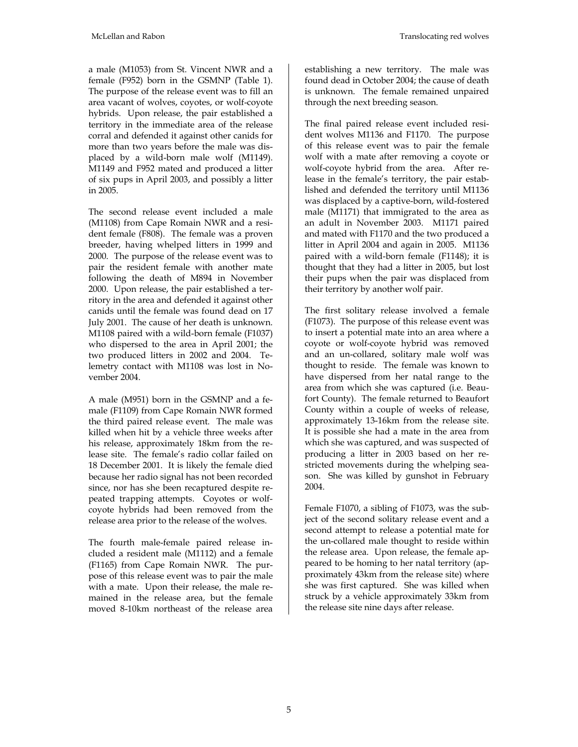a male (M1053) from St. Vincent NWR and a female (F952) born in the GSMNP (Table 1). The purpose of the release event was to fill an area vacant of wolves, coyotes, or wolf-coyote hybrids. Upon release, the pair established a territory in the immediate area of the release corral and defended it against other canids for more than two years before the male was displaced by a wild-born male wolf (M1149). M1149 and F952 mated and produced a litter of six pups in April 2003, and possibly a litter in 2005.

The second release event included a male (M1108) from Cape Romain NWR and a resident female (F808). The female was a proven breeder, having whelped litters in 1999 and 2000. The purpose of the release event was to pair the resident female with another mate following the death of M894 in November 2000. Upon release, the pair established a territory in the area and defended it against other canids until the female was found dead on 17 July 2001. The cause of her death is unknown. M1108 paired with a wild-born female (F1037) who dispersed to the area in April 2001; the two produced litters in 2002 and 2004. Telemetry contact with M1108 was lost in November 2004.

A male (M951) born in the GSMNP and a female (F1109) from Cape Romain NWR formed the third paired release event. The male was killed when hit by a vehicle three weeks after his release, approximately 18km from the release site. The female's radio collar failed on 18 December 2001. It is likely the female died because her radio signal has not been recorded since, nor has she been recaptured despite repeated trapping attempts. Coyotes or wolfcoyote hybrids had been removed from the release area prior to the release of the wolves.

The fourth male-female paired release included a resident male (M1112) and a female (F1165) from Cape Romain NWR. The purpose of this release event was to pair the male with a mate. Upon their release, the male remained in the release area, but the female moved 8-10km northeast of the release area

establishing a new territory. The male was found dead in October 2004; the cause of death is unknown. The female remained unpaired through the next breeding season.

The final paired release event included resident wolves M1136 and F1170. The purpose of this release event was to pair the female wolf with a mate after removing a coyote or wolf-coyote hybrid from the area. After release in the female's territory, the pair established and defended the territory until M1136 was displaced by a captive-born, wild-fostered male (M1171) that immigrated to the area as an adult in November 2003. M1171 paired and mated with F1170 and the two produced a litter in April 2004 and again in 2005. M1136 paired with a wild-born female (F1148); it is thought that they had a litter in 2005, but lost their pups when the pair was displaced from their territory by another wolf pair.

The first solitary release involved a female (F1073). The purpose of this release event was to insert a potential mate into an area where a coyote or wolf-coyote hybrid was removed and an un-collared, solitary male wolf was thought to reside. The female was known to have dispersed from her natal range to the area from which she was captured (i.e. Beaufort County). The female returned to Beaufort County within a couple of weeks of release, approximately 13-16km from the release site. It is possible she had a mate in the area from which she was captured, and was suspected of producing a litter in 2003 based on her restricted movements during the whelping season. She was killed by gunshot in February 2004.

Female F1070, a sibling of F1073, was the subject of the second solitary release event and a second attempt to release a potential mate for the un-collared male thought to reside within the release area. Upon release, the female appeared to be homing to her natal territory (approximately 43km from the release site) where she was first captured. She was killed when struck by a vehicle approximately 33km from the release site nine days after release.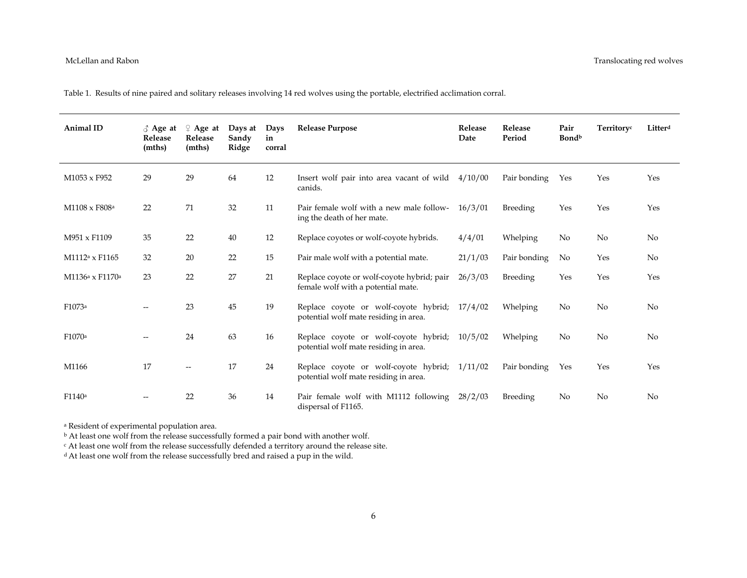Table 1. Results of nine paired and solitary releases involving 14 red wolves using the portable, electrified acclimation corral.

| Animal ID                               | $\delta$ Age at<br>Release<br>(mths) | $\varphi$ Age at<br>Release<br>(mths) | Days at<br>Sandy<br>Ridge | Days<br>in<br>corral | <b>Release Purpose</b>                                                                 | Release<br>Date | <b>Release</b><br>Period | Pair<br>Bondb | Territoryc     | Litterd |
|-----------------------------------------|--------------------------------------|---------------------------------------|---------------------------|----------------------|----------------------------------------------------------------------------------------|-----------------|--------------------------|---------------|----------------|---------|
| M1053 x F952                            | 29                                   | 29                                    | 64                        | 12                   | Insert wolf pair into area vacant of wild<br>canids.                                   | 4/10/00         | Pair bonding             | Yes           | Yes            | Yes     |
| M1108 x F808 <sup>a</sup>               | 22                                   | 71                                    | 32                        | 11                   | Pair female wolf with a new male follow-<br>ing the death of her mate.                 | 16/3/01         | Breeding                 | Yes           | Yes            | Yes     |
| M951 x F1109                            | 35                                   | 22                                    | 40                        | 12                   | Replace coyotes or wolf-coyote hybrids.                                                | 4/4/01          | Whelping                 | No            | No             | No      |
| M1112 <sup>a</sup> x F1165              | 32                                   | 20                                    | 22                        | 15                   | Pair male wolf with a potential mate.                                                  | 21/1/03         | Pair bonding             | No            | Yes            | No      |
| M1136 <sup>a</sup> x F1170 <sup>a</sup> | 23                                   | 22                                    | 27                        | 21                   | Replace coyote or wolf-coyote hybrid; pair<br>female wolf with a potential mate.       | 26/3/03         | Breeding                 | Yes           | Yes            | Yes     |
| F1073a                                  | --                                   | 23                                    | 45                        | 19                   | Replace coyote or wolf-coyote hybrid;<br>potential wolf mate residing in area.         | 17/4/02         | Whelping                 | No            | No             | No      |
| F1070 <sup>a</sup>                      | --                                   | 24                                    | 63                        | 16                   | Replace coyote or wolf-coyote hybrid; 10/5/02<br>potential wolf mate residing in area. |                 | Whelping                 | No            | No             | No      |
| M1166                                   | 17                                   | --                                    | 17                        | 24                   | Replace coyote or wolf-coyote hybrid; 1/11/02<br>potential wolf mate residing in area. |                 | Pair bonding             | Yes           | Yes            | Yes     |
| F1140a                                  |                                      | 22                                    | 36                        | 14                   | Pair female wolf with M1112 following<br>dispersal of F1165.                           | 28/2/03         | Breeding                 | No.           | N <sub>o</sub> | No      |

a Resident of experimental population area.

b At least one wolf from the release successfully formed a pair bond with another wolf.

c At least one wolf from the release successfully defended a territory around the release site.

<sup>d</sup> At least one wolf from the release successfully bred and raised a pup in the wild.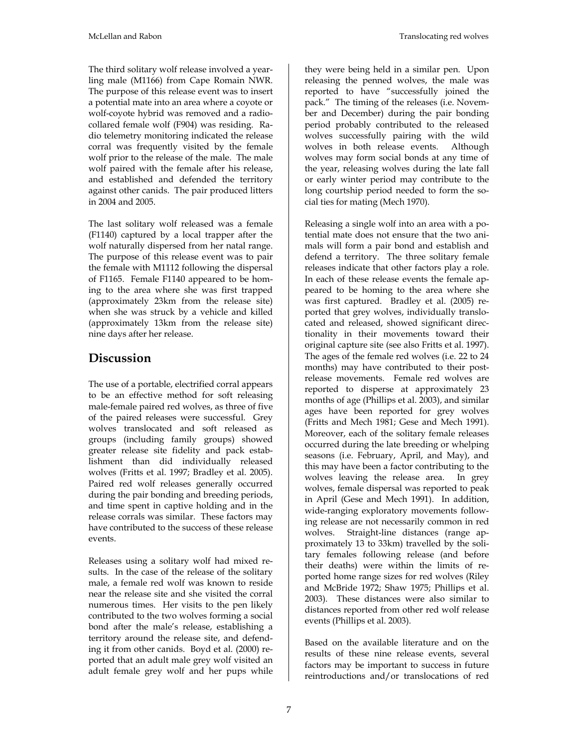The third solitary wolf release involved a yearling male (M1166) from Cape Romain NWR. The purpose of this release event was to insert a potential mate into an area where a coyote or wolf-coyote hybrid was removed and a radiocollared female wolf (F904) was residing. Radio telemetry monitoring indicated the release corral was frequently visited by the female wolf prior to the release of the male. The male wolf paired with the female after his release, and established and defended the territory against other canids. The pair produced litters in 2004 and 2005.

The last solitary wolf released was a female (F1140) captured by a local trapper after the wolf naturally dispersed from her natal range. The purpose of this release event was to pair the female with M1112 following the dispersal of F1165. Female F1140 appeared to be homing to the area where she was first trapped (approximately 23km from the release site) when she was struck by a vehicle and killed (approximately 13km from the release site) nine days after her release.

# **Discussion**

The use of a portable, electrified corral appears to be an effective method for soft releasing male-female paired red wolves, as three of five of the paired releases were successful. Grey wolves translocated and soft released as groups (including family groups) showed greater release site fidelity and pack establishment than did individually released wolves (Fritts et al. 1997; Bradley et al. 2005). Paired red wolf releases generally occurred during the pair bonding and breeding periods, and time spent in captive holding and in the release corrals was similar. These factors may have contributed to the success of these release events.

Releases using a solitary wolf had mixed results. In the case of the release of the solitary male, a female red wolf was known to reside near the release site and she visited the corral numerous times. Her visits to the pen likely contributed to the two wolves forming a social bond after the male's release, establishing a territory around the release site, and defending it from other canids. Boyd et al. (2000) reported that an adult male grey wolf visited an adult female grey wolf and her pups while they were being held in a similar pen. Upon releasing the penned wolves, the male was reported to have "successfully joined the pack." The timing of the releases (i.e. November and December) during the pair bonding period probably contributed to the released wolves successfully pairing with the wild wolves in both release events. Although wolves may form social bonds at any time of the year, releasing wolves during the late fall or early winter period may contribute to the long courtship period needed to form the social ties for mating (Mech 1970).

Releasing a single wolf into an area with a potential mate does not ensure that the two animals will form a pair bond and establish and defend a territory. The three solitary female releases indicate that other factors play a role. In each of these release events the female appeared to be homing to the area where she was first captured. Bradley et al. (2005) reported that grey wolves, individually translocated and released, showed significant directionality in their movements toward their original capture site (see also Fritts et al. 1997). The ages of the female red wolves (i.e. 22 to 24 months) may have contributed to their postrelease movements. Female red wolves are reported to disperse at approximately 23 months of age (Phillips et al. 2003), and similar ages have been reported for grey wolves (Fritts and Mech 1981; Gese and Mech 1991). Moreover, each of the solitary female releases occurred during the late breeding or whelping seasons (i.e. February, April, and May), and this may have been a factor contributing to the wolves leaving the release area. In grey wolves, female dispersal was reported to peak in April (Gese and Mech 1991). In addition, wide-ranging exploratory movements following release are not necessarily common in red wolves. Straight-line distances (range approximately 13 to 33km) travelled by the solitary females following release (and before their deaths) were within the limits of reported home range sizes for red wolves (Riley and McBride 1972; Shaw 1975; Phillips et al. 2003). These distances were also similar to distances reported from other red wolf release events (Phillips et al. 2003).

Based on the available literature and on the results of these nine release events, several factors may be important to success in future reintroductions and/or translocations of red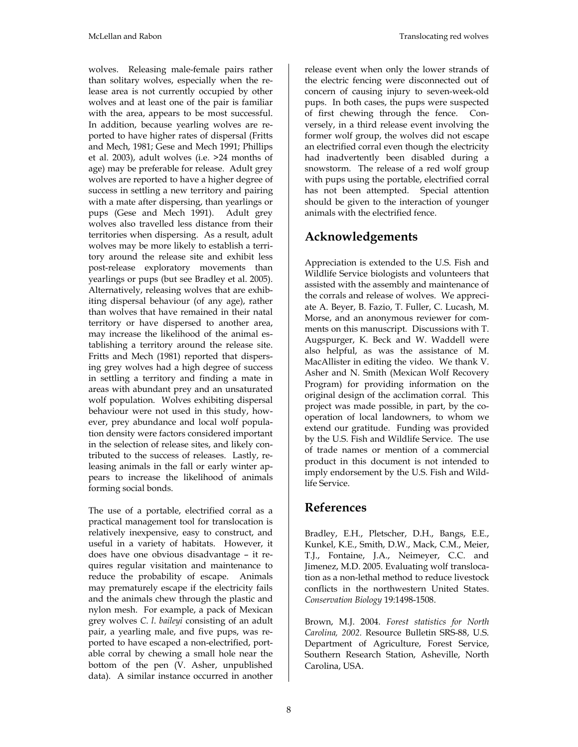wolves. Releasing male-female pairs rather than solitary wolves, especially when the release area is not currently occupied by other wolves and at least one of the pair is familiar with the area, appears to be most successful. In addition, because yearling wolves are reported to have higher rates of dispersal (Fritts and Mech, 1981; Gese and Mech 1991; Phillips et al. 2003), adult wolves (i.e. >24 months of age) may be preferable for release. Adult grey wolves are reported to have a higher degree of success in settling a new territory and pairing with a mate after dispersing, than yearlings or pups (Gese and Mech 1991). Adult grey wolves also travelled less distance from their territories when dispersing. As a result, adult wolves may be more likely to establish a territory around the release site and exhibit less post-release exploratory movements than yearlings or pups (but see Bradley et al. 2005). Alternatively, releasing wolves that are exhibiting dispersal behaviour (of any age), rather than wolves that have remained in their natal territory or have dispersed to another area, may increase the likelihood of the animal establishing a territory around the release site. Fritts and Mech (1981) reported that dispersing grey wolves had a high degree of success in settling a territory and finding a mate in areas with abundant prey and an unsaturated wolf population. Wolves exhibiting dispersal behaviour were not used in this study, however, prey abundance and local wolf population density were factors considered important in the selection of release sites, and likely contributed to the success of releases. Lastly, releasing animals in the fall or early winter appears to increase the likelihood of animals forming social bonds.

The use of a portable, electrified corral as a practical management tool for translocation is relatively inexpensive, easy to construct, and useful in a variety of habitats. However, it does have one obvious disadvantage – it requires regular visitation and maintenance to reduce the probability of escape. Animals may prematurely escape if the electricity fails and the animals chew through the plastic and nylon mesh. For example, a pack of Mexican grey wolves *C*. *l*. *baileyi* consisting of an adult pair, a yearling male, and five pups, was reported to have escaped a non-electrified, portable corral by chewing a small hole near the bottom of the pen (V. Asher, unpublished data). A similar instance occurred in another release event when only the lower strands of the electric fencing were disconnected out of concern of causing injury to seven-week-old pups. In both cases, the pups were suspected of first chewing through the fence. Conversely, in a third release event involving the former wolf group, the wolves did not escape an electrified corral even though the electricity had inadvertently been disabled during a snowstorm. The release of a red wolf group with pups using the portable, electrified corral has not been attempted. Special attention should be given to the interaction of younger animals with the electrified fence.

# **Acknowledgements**

Appreciation is extended to the U.S. Fish and Wildlife Service biologists and volunteers that assisted with the assembly and maintenance of the corrals and release of wolves. We appreciate A. Beyer, B. Fazio, T. Fuller, C. Lucash, M. Morse, and an anonymous reviewer for comments on this manuscript. Discussions with T. Augspurger, K. Beck and W. Waddell were also helpful, as was the assistance of M. MacAllister in editing the video. We thank V. Asher and N. Smith (Mexican Wolf Recovery Program) for providing information on the original design of the acclimation corral. This project was made possible, in part, by the cooperation of local landowners, to whom we extend our gratitude. Funding was provided by the U.S. Fish and Wildlife Service. The use of trade names or mention of a commercial product in this document is not intended to imply endorsement by the U.S. Fish and Wildlife Service.

## **References**

Bradley, E.H., Pletscher, D.H., Bangs, E.E., Kunkel, K.E., Smith, D.W., Mack, C.M., Meier, T.J., Fontaine, J.A., Neimeyer, C.C. and Jimenez, M.D. 2005. Evaluating wolf translocation as a non-lethal method to reduce livestock conflicts in the northwestern United States. *Conservation Biology* 19:1498-1508.

Brown, M.J. 2004. *Forest statistics for North Carolina, 2002.* Resource Bulletin SRS-88, U.S. Department of Agriculture, Forest Service, Southern Research Station, Asheville, North Carolina, USA.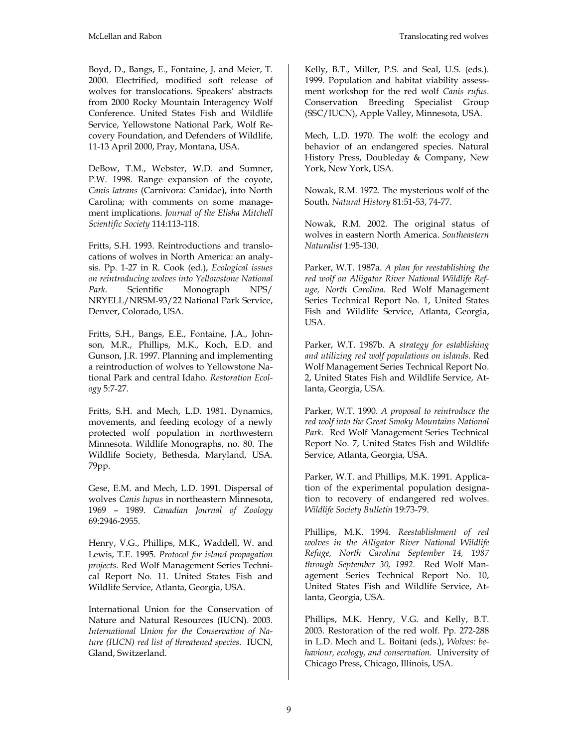Boyd, D., Bangs, E., Fontaine, J. and Meier, T. 2000. Electrified, modified soft release of wolves for translocations. Speakers' abstracts from 2000 Rocky Mountain Interagency Wolf Conference. United States Fish and Wildlife Service, Yellowstone National Park, Wolf Recovery Foundation, and Defenders of Wildlife, 11-13 April 2000, Pray, Montana, USA.

DeBow, T.M., Webster, W.D. and Sumner, P.W. 1998. Range expansion of the coyote, *Canis latrans* (Carnivora: Canidae), into North Carolina; with comments on some management implications. *Journal of the Elisha Mitchell Scientific Society* 114:113-118.

Fritts, S.H. 1993. Reintroductions and translocations of wolves in North America: an analysis. Pp. 1-27 in R. Cook (ed.), *Ecological issues on reintroducing wolves into Yellowstone National Park.* Scientific Monograph NPS/ NRYELL/NRSM-93/22 National Park Service, Denver, Colorado, USA.

Fritts, S.H., Bangs, E.E., Fontaine, J.A., Johnson, M.R., Phillips, M.K., Koch, E.D. and Gunson, J.R. 1997. Planning and implementing a reintroduction of wolves to Yellowstone National Park and central Idaho. *Restoration Ecology* 5:7-27.

Fritts, S.H. and Mech, L.D. 1981. Dynamics, movements, and feeding ecology of a newly protected wolf population in northwestern Minnesota. Wildlife Monographs, no. 80. The Wildlife Society, Bethesda, Maryland, USA. 79pp.

Gese, E.M. and Mech, L.D. 1991. Dispersal of wolves *Canis lupus* in northeastern Minnesota, 1969 – 1989. *Canadian Journal of Zoology* 69:2946-2955.

Henry, V.G., Phillips, M.K., Waddell, W. and Lewis, T.E. 1995. *Protocol for island propagation projects.* Red Wolf Management Series Technical Report No. 11. United States Fish and Wildlife Service, Atlanta, Georgia, USA.

International Union for the Conservation of Nature and Natural Resources (IUCN). 2003. *International Union for the Conservation of Nature (IUCN) red list of threatened species.* IUCN, Gland, Switzerland.

Kelly, B.T., Miller, P.S. and Seal, U.S. (eds.). 1999. Population and habitat viability assessment workshop for the red wolf *Canis rufus*. Conservation Breeding Specialist Group (SSC/IUCN), Apple Valley, Minnesota, USA.

Mech, L.D. 1970. The wolf: the ecology and behavior of an endangered species. Natural History Press, Doubleday & Company, New York, New York, USA.

Nowak, R.M. 1972. The mysterious wolf of the South. *Natural History* 81:51-53, 74-77.

Nowak, R.M. 2002. The original status of wolves in eastern North America. *Southeastern Naturalist* 1:95-130.

Parker, W.T. 1987a. *A plan for reestablishing the red wolf on Alligator River National Wildlife Refuge, North Carolina.* Red Wolf Management Series Technical Report No. 1, United States Fish and Wildlife Service, Atlanta, Georgia, USA.

Parker, W.T. 1987b. A *strategy for establishing and utilizing red wolf populations on islands.* Red Wolf Management Series Technical Report No. 2, United States Fish and Wildlife Service, Atlanta, Georgia, USA.

Parker, W.T. 1990. *A proposal to reintroduce the red wolf into the Great Smoky Mountains National Park.* Red Wolf Management Series Technical Report No. 7, United States Fish and Wildlife Service, Atlanta, Georgia, USA.

Parker, W.T. and Phillips, M.K. 1991. Application of the experimental population designation to recovery of endangered red wolves. *Wildlife Society Bulletin* 19:73-79.

Phillips, M.K. 1994. *Reestablishment of red wolves in the Alligator River National Wildlife Refuge, North Carolina September 14, 1987 through September 30, 1992.* Red Wolf Management Series Technical Report No. 10, United States Fish and Wildlife Service, Atlanta, Georgia, USA.

Phillips, M.K. Henry, V.G. and Kelly, B.T. 2003. Restoration of the red wolf. Pp. 272-288 in L.D. Mech and L. Boitani (eds.), *Wolves: behaviour, ecology, and conservation.* University of Chicago Press, Chicago, Illinois, USA.